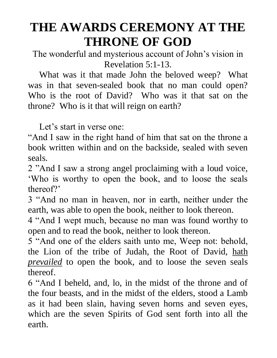# **THE AWARDS CEREMONY AT THE THRONE OF GOD**

The wonderful and mysterious account of John's vision in Revelation 5:1-13.

 What was it that made John the beloved weep? What was in that seven-sealed book that no man could open? Who is the root of David? Who was it that sat on the throne? Who is it that will reign on earth?

Let's start in verse one:

"And I saw in the right hand of him that sat on the throne a book written within and on the backside, sealed with seven seals.

2 "And I saw a strong angel proclaiming with a loud voice, 'Who is worthy to open the book, and to loose the seals thereof?'

3 "And no man in heaven, nor in earth, neither under the earth, was able to open the book, neither to look thereon.

4 "And I wept much, because no man was found worthy to open and to read the book, neither to look thereon.

5 "And one of the elders saith unto me, Weep not: behold, the Lion of the tribe of Judah, the Root of David, hath *prevailed* to open the book, and to loose the seven seals thereof.

6 "And I beheld, and, lo, in the midst of the throne and of the four beasts, and in the midst of the elders, stood a Lamb as it had been slain, having seven horns and seven eyes, which are the seven Spirits of God sent forth into all the earth.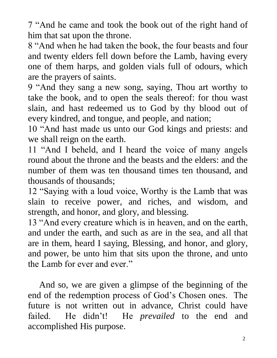7 "And he came and took the book out of the right hand of him that sat upon the throne.

8 "And when he had taken the book, the four beasts and four and twenty elders fell down before the Lamb, having every one of them harps, and golden vials full of odours, which are the prayers of saints.

9 "And they sang a new song, saying, Thou art worthy to take the book, and to open the seals thereof: for thou wast slain, and hast redeemed us to God by thy blood out of every kindred, and tongue, and people, and nation;

10 "And hast made us unto our God kings and priests: and we shall reign on the earth.

11 "And I beheld, and I heard the voice of many angels round about the throne and the beasts and the elders: and the number of them was ten thousand times ten thousand, and thousands of thousands;

12 "Saying with a loud voice, Worthy is the Lamb that was slain to receive power, and riches, and wisdom, and strength, and honor, and glory, and blessing.

13 "And every creature which is in heaven, and on the earth, and under the earth, and such as are in the sea, and all that are in them, heard I saying, Blessing, and honor, and glory, and power, be unto him that sits upon the throne, and unto the Lamb for ever and ever."

 And so, we are given a glimpse of the beginning of the end of the redemption process of God's Chosen ones. The future is not written out in advance, Christ could have failed. He didn't! He *prevailed* to the end and accomplished His purpose.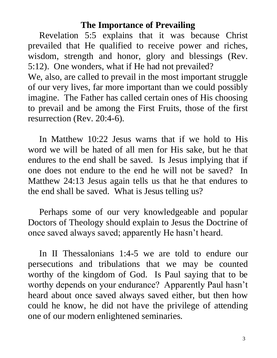#### **The Importance of Prevailing**

 Revelation 5:5 explains that it was because Christ prevailed that He qualified to receive power and riches, wisdom, strength and honor, glory and blessings (Rev. 5:12). One wonders, what if He had not prevailed?

We, also, are called to prevail in the most important struggle of our very lives, far more important than we could possibly imagine. The Father has called certain ones of His choosing to prevail and be among the First Fruits, those of the first resurrection (Rev. 20:4-6).

 In Matthew 10:22 Jesus warns that if we hold to His word we will be hated of all men for His sake, but he that endures to the end shall be saved. Is Jesus implying that if one does not endure to the end he will not be saved? In Matthew 24:13 Jesus again tells us that he that endures to the end shall be saved. What is Jesus telling us?

 Perhaps some of our very knowledgeable and popular Doctors of Theology should explain to Jesus the Doctrine of once saved always saved; apparently He hasn't heard.

In II Thessalonians 1:4-5 we are told to endure our persecutions and tribulations that we may be counted worthy of the kingdom of God. Is Paul saying that to be worthy depends on your endurance? Apparently Paul hasn't heard about once saved always saved either, but then how could he know, he did not have the privilege of attending one of our modern enlightened seminaries.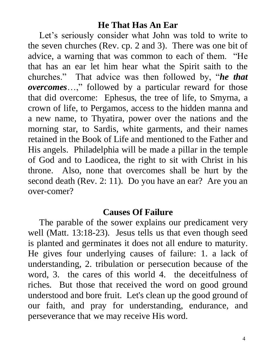## **He That Has An Ear**

 Let's seriously consider what John was told to write to the seven churches (Rev. cp. 2 and 3). There was one bit of advice, a warning that was common to each of them. "He that has an ear let him hear what the Spirit saith to the churches." That advice was then followed by, "*he that overcomes*…," followed by a particular reward for those that did overcome: Ephesus, the tree of life, to Smyrna, a crown of life, to Pergamos, access to the hidden manna and a new name, to Thyatira, power over the nations and the morning star, to Sardis, white garments, and their names retained in the Book of Life and mentioned to the Father and His angels. Philadelphia will be made a pillar in the temple of God and to Laodicea, the right to sit with Christ in his throne. Also, none that overcomes shall be hurt by the second death (Rev. 2: 11). Do you have an ear? Are you an over-comer?

## **Causes Of Failure**

 The parable of the sower explains our predicament very well (Matt. 13:18-23). Jesus tells us that even though seed is planted and germinates it does not all endure to maturity. He gives four underlying causes of failure: 1. a lack of understanding, 2. tribulation or persecution because of the word, 3. the cares of this world 4. the deceitfulness of riches. But those that received the word on good ground understood and bore fruit. Let's clean up the good ground of our faith, and pray for understanding, endurance, and perseverance that we may receive His word.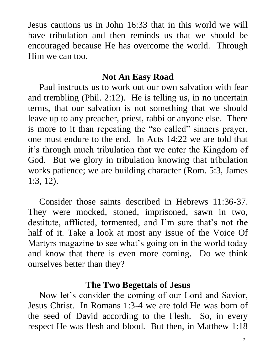Jesus cautions us in John 16:33 that in this world we will have tribulation and then reminds us that we should be encouraged because He has overcome the world. Through Him we can too.

#### **Not An Easy Road**

 Paul instructs us to work out our own salvation with fear and trembling (Phil. 2:12). He is telling us, in no uncertain terms, that our salvation is not something that we should leave up to any preacher, priest, rabbi or anyone else. There is more to it than repeating the "so called" sinners prayer, one must endure to the end. In Acts 14:22 we are told that it's through much tribulation that we enter the Kingdom of God. But we glory in tribulation knowing that tribulation works patience; we are building character (Rom. 5:3, James 1:3, 12).

 Consider those saints described in Hebrews 11:36-37. They were mocked, stoned, imprisoned, sawn in two, destitute, afflicted, tormented, and I'm sure that's not the half of it. Take a look at most any issue of the Voice Of Martyrs magazine to see what's going on in the world today and know that there is even more coming. Do we think ourselves better than they?

#### **The Two Begettals of Jesus**

 Now let's consider the coming of our Lord and Savior, Jesus Christ. In Romans 1:3-4 we are told He was born of the seed of David according to the Flesh. So, in every respect He was flesh and blood. But then, in Matthew 1:18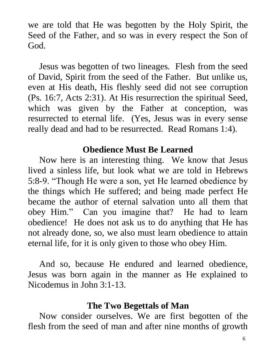we are told that He was begotten by the Holy Spirit, the Seed of the Father, and so was in every respect the Son of God.

 Jesus was begotten of two lineages. Flesh from the seed of David, Spirit from the seed of the Father. But unlike us, even at His death, His fleshly seed did not see corruption (Ps. 16:7, Acts 2:31). At His resurrection the spiritual Seed, which was given by the Father at conception, was resurrected to eternal life. (Yes, Jesus was in every sense really dead and had to be resurrected. Read Romans 1:4).

### **Obedience Must Be Learned**

 Now here is an interesting thing. We know that Jesus lived a sinless life, but look what we are told in Hebrews 5:8-9. "Though He were a son, yet He learned obedience by the things which He suffered; and being made perfect He became the author of eternal salvation unto all them that obey Him." Can you imagine that? He had to learn obedience! He does not ask us to do anything that He has not already done, so, we also must learn obedience to attain eternal life, for it is only given to those who obey Him.

 And so, because He endured and learned obedience, Jesus was born again in the manner as He explained to Nicodemus in John 3:1-13.

### **The Two Begettals of Man**

 Now consider ourselves. We are first begotten of the flesh from the seed of man and after nine months of growth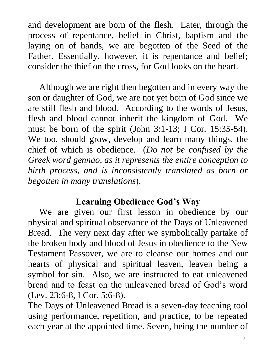and development are born of the flesh. Later, through the process of repentance, belief in Christ, baptism and the laying on of hands, we are begotten of the Seed of the Father. Essentially, however, it is repentance and belief; consider the thief on the cross, for God looks on the heart.

 Although we are right then begotten and in every way the son or daughter of God, we are not yet born of God since we are still flesh and blood. According to the words of Jesus, flesh and blood cannot inherit the kingdom of God. We must be born of the spirit (John 3:1-13; I Cor. 15:35-54). We too, should grow, develop and learn many things, the chief of which is obedience. (*Do not be confused by the Greek word gennao, as it represents the entire conception to birth process, and is inconsistently translated as born or begotten in many translations*).

## **Learning Obedience God's Way**

 We are given our first lesson in obedience by our physical and spiritual observance of the Days of Unleavened Bread. The very next day after we symbolically partake of the broken body and blood of Jesus in obedience to the New Testament Passover, we are to cleanse our homes and our hearts of physical and spiritual leaven, leaven being a symbol for sin. Also, we are instructed to eat unleavened bread and to feast on the unleavened bread of God's word (Lev. 23:6-8, I Cor. 5:6-8).

The Days of Unleavened Bread is a seven-day teaching tool using performance, repetition, and practice, to be repeated each year at the appointed time. Seven, being the number of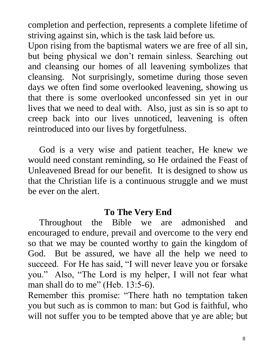completion and perfection, represents a complete lifetime of striving against sin, which is the task laid before us.

Upon rising from the baptismal waters we are free of all sin, but being physical we don't remain sinless. Searching out and cleansing our homes of all leavening symbolizes that cleansing. Not surprisingly, sometime during those seven days we often find some overlooked leavening, showing us that there is some overlooked unconfessed sin yet in our lives that we need to deal with. Also, just as sin is so apt to creep back into our lives unnoticed, leavening is often reintroduced into our lives by forgetfulness.

 God is a very wise and patient teacher, He knew we would need constant reminding, so He ordained the Feast of Unleavened Bread for our benefit. It is designed to show us that the Christian life is a continuous struggle and we must be ever on the alert.

### **To The Very End**

 Throughout the Bible we are admonished and encouraged to endure, prevail and overcome to the very end so that we may be counted worthy to gain the kingdom of God. But be assured, we have all the help we need to succeed. For He has said, "I will never leave you or forsake you." Also, "The Lord is my helper, I will not fear what man shall do to me" (Heb. 13:5-6).

Remember this promise: "There hath no temptation taken you but such as is common to man: but God is faithful, who will not suffer you to be tempted above that ye are able; but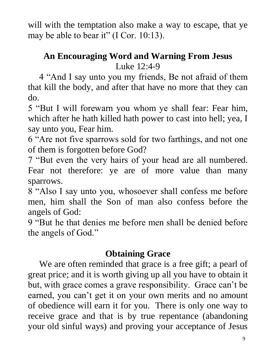will with the temptation also make a way to escape, that ye may be able to bear it" (I Cor. 10:13).

## **An Encouraging Word and Warning From Jesus** Luke 12:4-9

 4 "And I say unto you my friends, Be not afraid of them that kill the body, and after that have no more that they can do.

5 "But I will forewarn you whom ye shall fear: Fear him, which after he hath killed hath power to cast into hell; yea, I say unto you, Fear him.

6 "Are not five sparrows sold for two farthings, and not one of them is forgotten before God?

7 "But even the very hairs of your head are all numbered. Fear not therefore: ye are of more value than many sparrows.

8 "Also I say unto you, whosoever shall confess me before men, him shall the Son of man also confess before the angels of God:

9 "But he that denies me before men shall be denied before the angels of God."

## **Obtaining Grace**

 We are often reminded that grace is a free gift; a pearl of great price; and it is worth giving up all you have to obtain it but, with grace comes a grave responsibility. Grace can't be earned, you can't get it on your own merits and no amount of obedience will earn it for you. There is only one way to receive grace and that is by true repentance (abandoning your old sinful ways) and proving your acceptance of Jesus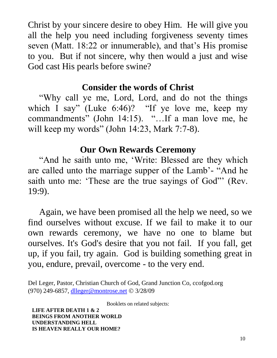Christ by your sincere desire to obey Him. He will give you all the help you need including forgiveness seventy times seven (Matt. 18:22 or innumerable), and that's His promise to you. But if not sincere, why then would a just and wise God cast His pearls before swine?

## **Consider the words of Christ**

 "Why call ye me, Lord, Lord, and do not the things which I say" (Luke 6:46)? "If ye love me, keep my commandments" (John 14:15). "…If a man love me, he will keep my words" (John 14:23, Mark 7:7-8).

## **Our Own Rewards Ceremony**

 "And he saith unto me, 'Write: Blessed are they which are called unto the marriage supper of the Lamb'- "And he saith unto me: 'These are the true sayings of God'" (Rev. 19:9).

 Again, we have been promised all the help we need, so we find ourselves without excuse. If we fail to make it to our own rewards ceremony, we have no one to blame but ourselves. It's God's desire that you not fail. If you fall, get up, if you fail, try again. God is building something great in you, endure, prevail, overcome - to the very end.

Del Leger, Pastor, Christian Church of God, Grand Junction Co, ccofgod.org (970) 249-6857, [dlleger@montrose.net](mailto:dleger@q.com) 3/28/09

Booklets on related subjects:

 **LIFE AFTER DEATH 1 & 2 BEINGS FROM ANOTHER WORLD UNDERSTANDING HELL IS HEAVEN REALLY OUR HOME?**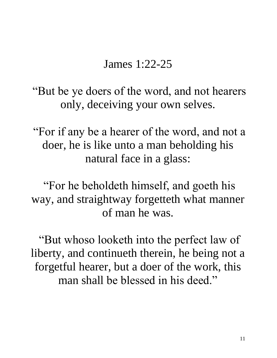James 1:22-25

"But be ye doers of the word, and not hearers only, deceiving your own selves.

"For if any be a hearer of the word, and not a doer, he is like unto a man beholding his natural face in a glass:

"For he beholdeth himself, and goeth his way, and straightway forgetteth what manner of man he was.

"But whoso looketh into the perfect law of liberty, and continueth therein, he being not a forgetful hearer, but a doer of the work, this man shall be blessed in his deed."